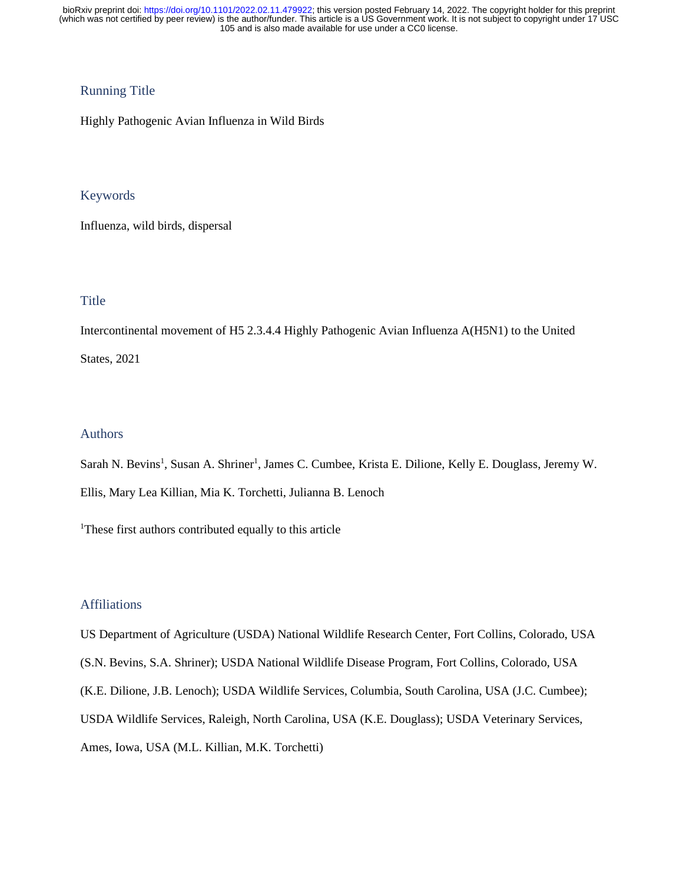## Running Title

Highly Pathogenic Avian Influenza in Wild Birds

## Keywords

Influenza, wild birds, dispersal

## Title

Intercontinental movement of H5 2.3.4.4 Highly Pathogenic Avian Influenza A(H5N1) to the United States, 2021

### Authors

Sarah N. Bevins<sup>1</sup>, Susan A. Shriner<sup>1</sup>, James C. Cumbee, Krista E. Dilione, Kelly E. Douglass, Jeremy W. Ellis, Mary Lea Killian, Mia K. Torchetti, Julianna B. Lenoch

<sup>1</sup>These first authors contributed equally to this article

### Affiliations

US Department of Agriculture (USDA) National Wildlife Research Center, Fort Collins, Colorado, USA (S.N. Bevins, S.A. Shriner); USDA National Wildlife Disease Program, Fort Collins, Colorado, USA (K.E. Dilione, J.B. Lenoch); USDA Wildlife Services, Columbia, South Carolina, USA (J.C. Cumbee); USDA Wildlife Services, Raleigh, North Carolina, USA (K.E. Douglass); USDA Veterinary Services, Ames, Iowa, USA (M.L. Killian, M.K. Torchetti)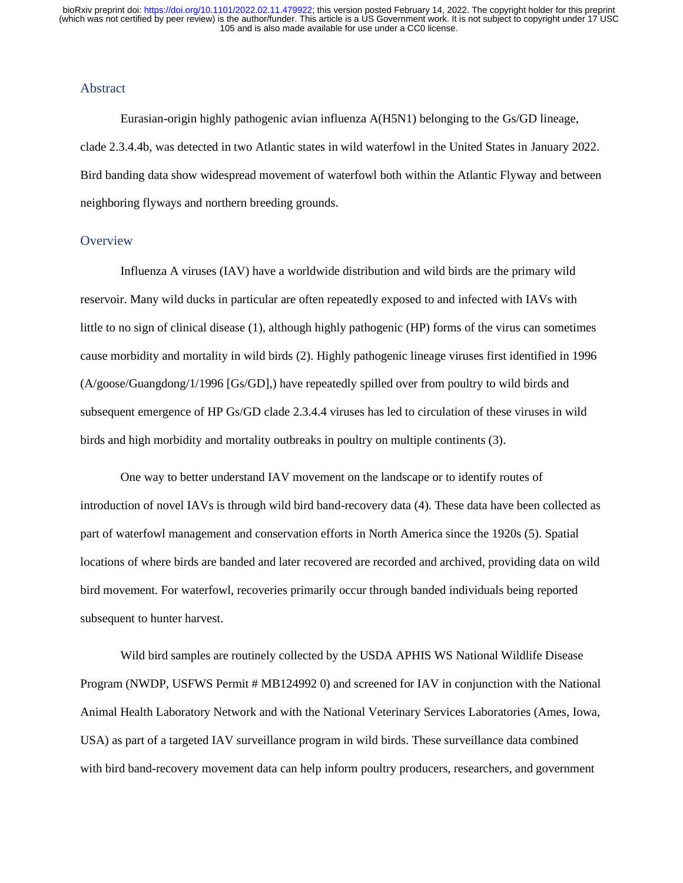## Abstract

Eurasian-origin highly pathogenic avian influenza A(H5N1) belonging to the Gs/GD lineage, clade 2.3.4.4b, was detected in two Atlantic states in wild waterfowl in the United States in January 2022. Bird banding data show widespread movement of waterfowl both within the Atlantic Flyway and between neighboring flyways and northern breeding grounds.

#### **Overview**

Influenza A viruses (IAV) have a worldwide distribution and wild birds are the primary wild reservoir. Many wild ducks in particular are often repeatedly exposed to and infected with IAVs with little to no sign of clinical disease (1), although highly pathogenic (HP) forms of the virus can sometimes cause morbidity and mortality in wild birds (2). Highly pathogenic lineage viruses first identified in 1996 (A/goose/Guangdong/1/1996 [Gs/GD],) have repeatedly spilled over from poultry to wild birds and subsequent emergence of HP Gs/GD clade 2.3.4.4 viruses has led to circulation of these viruses in wild birds and high morbidity and mortality outbreaks in poultry on multiple continents (3).

One way to better understand IAV movement on the landscape or to identify routes of introduction of novel IAVs is through wild bird band-recovery data (4). These data have been collected as part of waterfowl management and conservation efforts in North America since the 1920s (5). Spatial locations of where birds are banded and later recovered are recorded and archived, providing data on wild bird movement. For waterfowl, recoveries primarily occur through banded individuals being reported subsequent to hunter harvest.

Wild bird samples are routinely collected by the USDA APHIS WS National Wildlife Disease Program (NWDP, USFWS Permit # MB124992 0) and screened for IAV in conjunction with the National Animal Health Laboratory Network and with the National Veterinary Services Laboratories (Ames, Iowa, USA) as part of a targeted IAV surveillance program in wild birds. These surveillance data combined with bird band-recovery movement data can help inform poultry producers, researchers, and government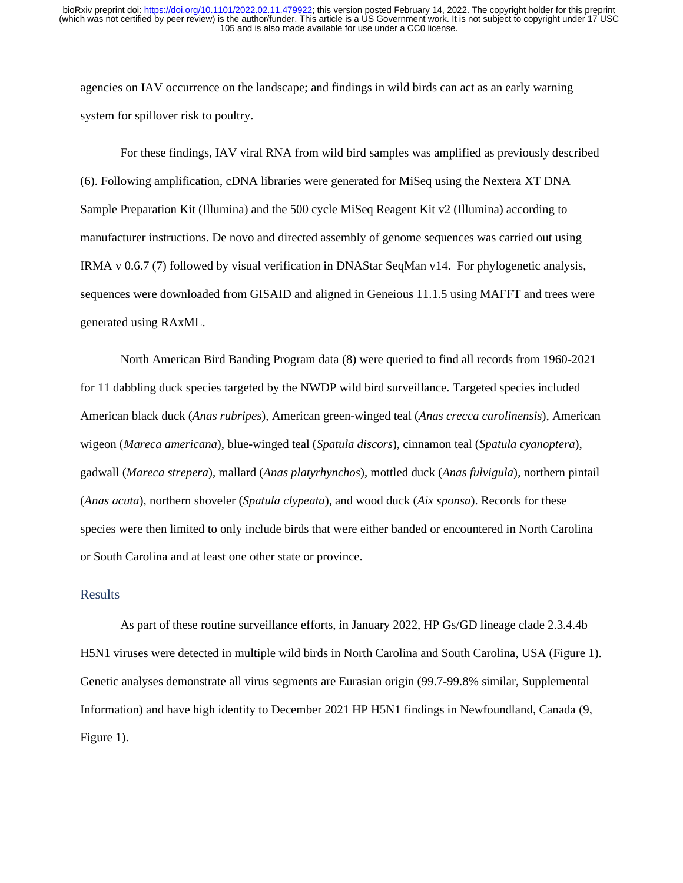agencies on IAV occurrence on the landscape; and findings in wild birds can act as an early warning system for spillover risk to poultry.

For these findings, IAV viral RNA from wild bird samples was amplified as previously described (6). Following amplification, cDNA libraries were generated for MiSeq using the Nextera XT DNA Sample Preparation Kit (Illumina) and the 500 cycle MiSeq Reagent Kit v2 (Illumina) according to manufacturer instructions. De novo and directed assembly of genome sequences was carried out using IRMA v 0.6.7 (7) followed by visual verification in DNAStar SeqMan v14. For phylogenetic analysis, sequences were downloaded from GISAID and aligned in Geneious 11.1.5 using MAFFT and trees were generated using RAxML.

North American Bird Banding Program data (8) were queried to find all records from 1960-2021 for 11 dabbling duck species targeted by the NWDP wild bird surveillance. Targeted species included American black duck (*Anas rubripes*), American green-winged teal (*Anas crecca carolinensis*), American wigeon (*Mareca americana*), blue-winged teal (*Spatula discors*), cinnamon teal (*Spatula cyanoptera*), gadwall (*Mareca strepera*), mallard (*Anas platyrhynchos*), mottled duck (*Anas fulvigula*), northern pintail (*Anas acuta*), northern shoveler (*Spatula clypeata*), and wood duck (*Aix sponsa*). Records for these species were then limited to only include birds that were either banded or encountered in North Carolina or South Carolina and at least one other state or province.

#### Results

As part of these routine surveillance efforts, in January 2022, HP Gs/GD lineage clade 2.3.4.4b H5N1 viruses were detected in multiple wild birds in North Carolina and South Carolina, USA (Figure 1). Genetic analyses demonstrate all virus segments are Eurasian origin (99.7-99.8% similar, Supplemental Information) and have high identity to December 2021 HP H5N1 findings in Newfoundland, Canada (9, Figure 1).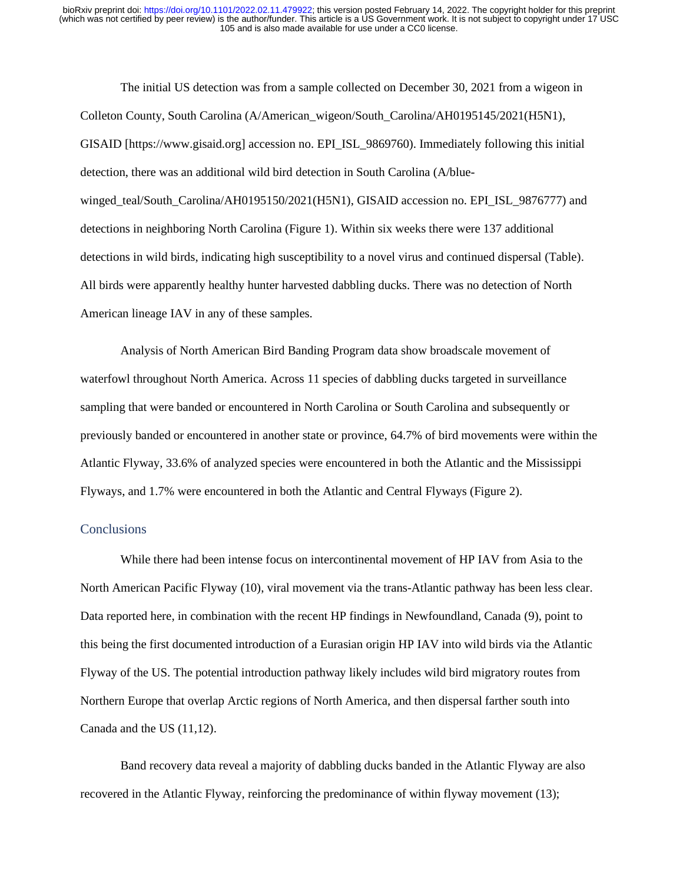The initial US detection was from a sample collected on December 30, 2021 from a wigeon in Colleton County, South Carolina (A/American\_wigeon/South\_Carolina/AH0195145/2021(H5N1), GISAID [https://www.gisaid.org] accession no. EPI\_ISL\_9869760). Immediately following this initial detection, there was an additional wild bird detection in South Carolina (A/bluewinged\_teal/South\_Carolina/AH0195150/2021(H5N1), GISAID accession no. EPI\_ISL\_9876777) and detections in neighboring North Carolina (Figure 1). Within six weeks there were 137 additional detections in wild birds, indicating high susceptibility to a novel virus and continued dispersal (Table). All birds were apparently healthy hunter harvested dabbling ducks. There was no detection of North American lineage IAV in any of these samples.

Analysis of North American Bird Banding Program data show broadscale movement of waterfowl throughout North America. Across 11 species of dabbling ducks targeted in surveillance sampling that were banded or encountered in North Carolina or South Carolina and subsequently or previously banded or encountered in another state or province, 64.7% of bird movements were within the Atlantic Flyway, 33.6% of analyzed species were encountered in both the Atlantic and the Mississippi Flyways, and 1.7% were encountered in both the Atlantic and Central Flyways (Figure 2).

#### **Conclusions**

While there had been intense focus on intercontinental movement of HP IAV from Asia to the North American Pacific Flyway (10), viral movement via the trans-Atlantic pathway has been less clear. Data reported here, in combination with the recent HP findings in Newfoundland, Canada (9), point to this being the first documented introduction of a Eurasian origin HP IAV into wild birds via the Atlantic Flyway of the US. The potential introduction pathway likely includes wild bird migratory routes from Northern Europe that overlap Arctic regions of North America, and then dispersal farther south into Canada and the US (11,12).

Band recovery data reveal a majority of dabbling ducks banded in the Atlantic Flyway are also recovered in the Atlantic Flyway, reinforcing the predominance of within flyway movement (13);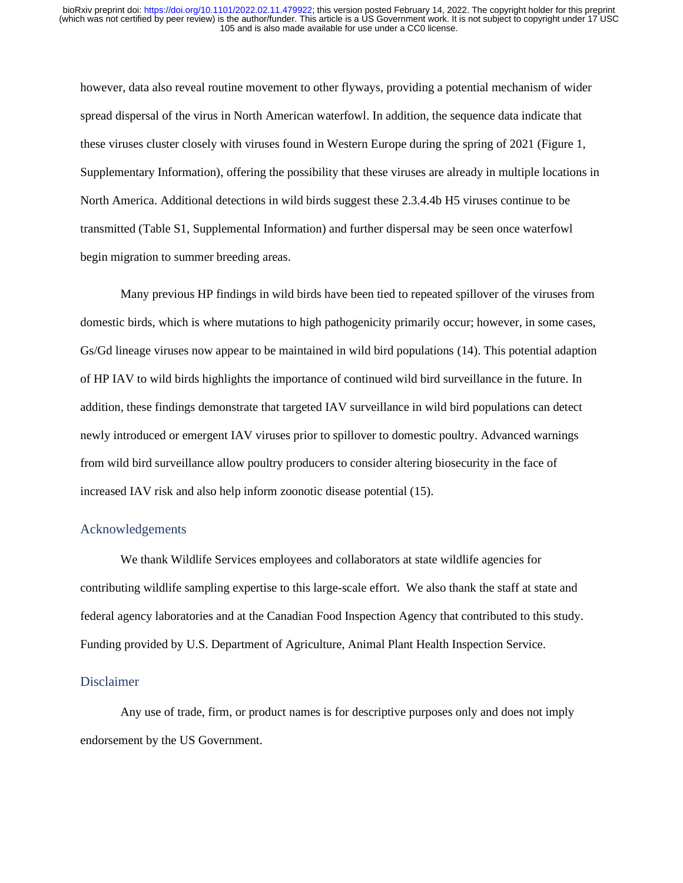however, data also reveal routine movement to other flyways, providing a potential mechanism of wider spread dispersal of the virus in North American waterfowl. In addition, the sequence data indicate that these viruses cluster closely with viruses found in Western Europe during the spring of 2021 (Figure 1, Supplementary Information), offering the possibility that these viruses are already in multiple locations in North America. Additional detections in wild birds suggest these 2.3.4.4b H5 viruses continue to be transmitted (Table S1, Supplemental Information) and further dispersal may be seen once waterfowl begin migration to summer breeding areas.

Many previous HP findings in wild birds have been tied to repeated spillover of the viruses from domestic birds, which is where mutations to high pathogenicity primarily occur; however, in some cases, Gs/Gd lineage viruses now appear to be maintained in wild bird populations (14). This potential adaption of HP IAV to wild birds highlights the importance of continued wild bird surveillance in the future. In addition, these findings demonstrate that targeted IAV surveillance in wild bird populations can detect newly introduced or emergent IAV viruses prior to spillover to domestic poultry. Advanced warnings from wild bird surveillance allow poultry producers to consider altering biosecurity in the face of increased IAV risk and also help inform zoonotic disease potential (15).

#### Acknowledgements

We thank Wildlife Services employees and collaborators at state wildlife agencies for contributing wildlife sampling expertise to this large-scale effort. We also thank the staff at state and federal agency laboratories and at the Canadian Food Inspection Agency that contributed to this study. Funding provided by U.S. Department of Agriculture, Animal Plant Health Inspection Service.

#### Disclaimer

Any use of trade, firm, or product names is for descriptive purposes only and does not imply endorsement by the US Government.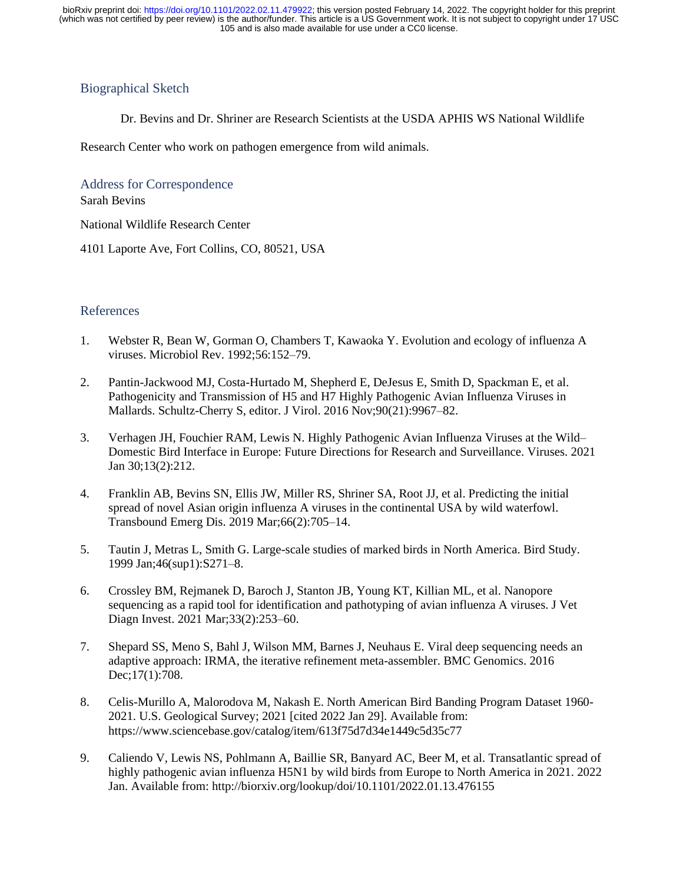## Biographical Sketch

Dr. Bevins and Dr. Shriner are Research Scientists at the USDA APHIS WS National Wildlife

Research Center who work on pathogen emergence from wild animals.

Address for Correspondence

Sarah Bevins

National Wildlife Research Center

4101 Laporte Ave, Fort Collins, CO, 80521, USA

## References

- 1. Webster R, Bean W, Gorman O, Chambers T, Kawaoka Y. Evolution and ecology of influenza A viruses. Microbiol Rev. 1992;56:152–79.
- 2. Pantin-Jackwood MJ, Costa-Hurtado M, Shepherd E, DeJesus E, Smith D, Spackman E, et al. Pathogenicity and Transmission of H5 and H7 Highly Pathogenic Avian Influenza Viruses in Mallards. Schultz-Cherry S, editor. J Virol. 2016 Nov;90(21):9967–82.
- 3. Verhagen JH, Fouchier RAM, Lewis N. Highly Pathogenic Avian Influenza Viruses at the Wild– Domestic Bird Interface in Europe: Future Directions for Research and Surveillance. Viruses. 2021 Jan 30;13(2):212.
- 4. Franklin AB, Bevins SN, Ellis JW, Miller RS, Shriner SA, Root JJ, et al. Predicting the initial spread of novel Asian origin influenza A viruses in the continental USA by wild waterfowl. Transbound Emerg Dis. 2019 Mar;66(2):705–14.
- 5. Tautin J, Metras L, Smith G. Large-scale studies of marked birds in North America. Bird Study. 1999 Jan;46(sup1):S271–8.
- 6. Crossley BM, Rejmanek D, Baroch J, Stanton JB, Young KT, Killian ML, et al. Nanopore sequencing as a rapid tool for identification and pathotyping of avian influenza A viruses. J Vet Diagn Invest. 2021 Mar;33(2):253–60.
- 7. Shepard SS, Meno S, Bahl J, Wilson MM, Barnes J, Neuhaus E. Viral deep sequencing needs an adaptive approach: IRMA, the iterative refinement meta-assembler. BMC Genomics. 2016 Dec;17(1):708.
- 8. Celis-Murillo A, Malorodova M, Nakash E. North American Bird Banding Program Dataset 1960- 2021. U.S. Geological Survey; 2021 [cited 2022 Jan 29]. Available from: https://www.sciencebase.gov/catalog/item/613f75d7d34e1449c5d35c77
- 9. Caliendo V, Lewis NS, Pohlmann A, Baillie SR, Banyard AC, Beer M, et al. Transatlantic spread of highly pathogenic avian influenza H5N1 by wild birds from Europe to North America in 2021. 2022 Jan. Available from: http://biorxiv.org/lookup/doi/10.1101/2022.01.13.476155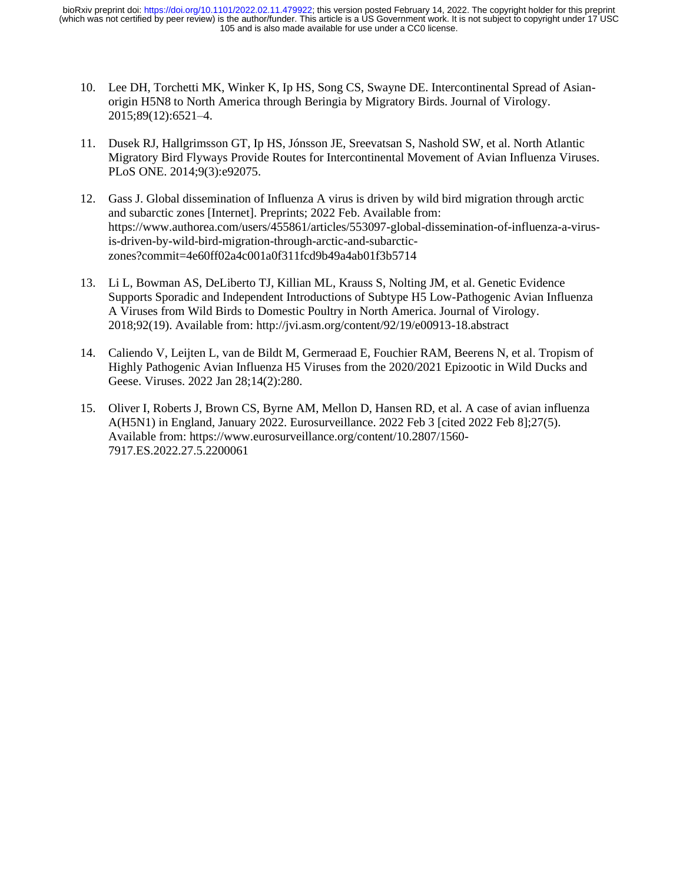- 10. Lee DH, Torchetti MK, Winker K, Ip HS, Song CS, Swayne DE. Intercontinental Spread of Asianorigin H5N8 to North America through Beringia by Migratory Birds. Journal of Virology. 2015;89(12):6521–4.
- 11. Dusek RJ, Hallgrimsson GT, Ip HS, Jónsson JE, Sreevatsan S, Nashold SW, et al. North Atlantic Migratory Bird Flyways Provide Routes for Intercontinental Movement of Avian Influenza Viruses. PLoS ONE. 2014;9(3):e92075.
- 12. Gass J. Global dissemination of Influenza A virus is driven by wild bird migration through arctic and subarctic zones [Internet]. Preprints; 2022 Feb. Available from: https://www.authorea.com/users/455861/articles/553097-global-dissemination-of-influenza-a-virusis-driven-by-wild-bird-migration-through-arctic-and-subarcticzones?commit=4e60ff02a4c001a0f311fcd9b49a4ab01f3b5714
- 13. Li L, Bowman AS, DeLiberto TJ, Killian ML, Krauss S, Nolting JM, et al. Genetic Evidence Supports Sporadic and Independent Introductions of Subtype H5 Low-Pathogenic Avian Influenza A Viruses from Wild Birds to Domestic Poultry in North America. Journal of Virology. 2018;92(19). Available from: http://jvi.asm.org/content/92/19/e00913-18.abstract
- 14. Caliendo V, Leijten L, van de Bildt M, Germeraad E, Fouchier RAM, Beerens N, et al. Tropism of Highly Pathogenic Avian Influenza H5 Viruses from the 2020/2021 Epizootic in Wild Ducks and Geese. Viruses. 2022 Jan 28;14(2):280.
- 15. Oliver I, Roberts J, Brown CS, Byrne AM, Mellon D, Hansen RD, et al. A case of avian influenza A(H5N1) in England, January 2022. Eurosurveillance. 2022 Feb 3 [cited 2022 Feb 8];27(5). Available from: https://www.eurosurveillance.org/content/10.2807/1560- 7917.ES.2022.27.5.2200061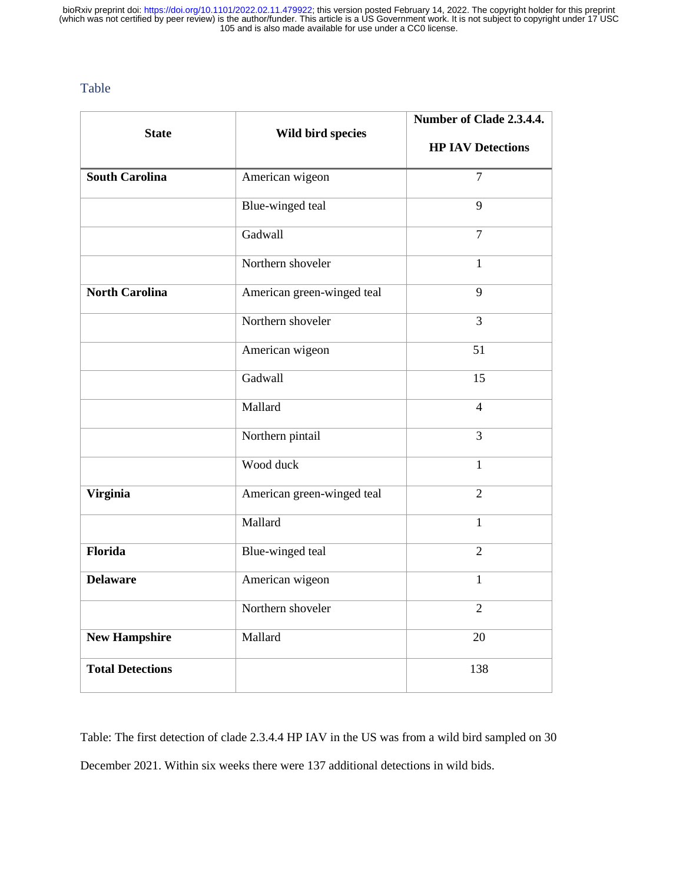Table

| <b>State</b>            | Wild bird species          | Number of Clade 2.3.4.4. |
|-------------------------|----------------------------|--------------------------|
|                         |                            | <b>HP IAV Detections</b> |
| <b>South Carolina</b>   | American wigeon            | $\overline{7}$           |
|                         | Blue-winged teal           | 9                        |
|                         | Gadwall                    | $\overline{7}$           |
|                         | Northern shoveler          | $\mathbf{1}$             |
| <b>North Carolina</b>   | American green-winged teal | 9                        |
|                         | Northern shoveler          | 3                        |
|                         | American wigeon            | 51                       |
|                         | Gadwall                    | 15                       |
|                         | Mallard                    | $\overline{4}$           |
|                         | Northern pintail           | 3                        |
|                         | Wood duck                  | $\mathbf{1}$             |
| <b>Virginia</b>         | American green-winged teal | $\overline{2}$           |
|                         | Mallard                    | 1                        |
| Florida                 | Blue-winged teal           | $\overline{2}$           |
| <b>Delaware</b>         | American wigeon            | $\mathbf{1}$             |
|                         | Northern shoveler          | $\overline{2}$           |
| <b>New Hampshire</b>    | Mallard                    | 20                       |
| <b>Total Detections</b> |                            | 138                      |

Table: The first detection of clade 2.3.4.4 HP IAV in the US was from a wild bird sampled on 30 December 2021. Within six weeks there were 137 additional detections in wild bids.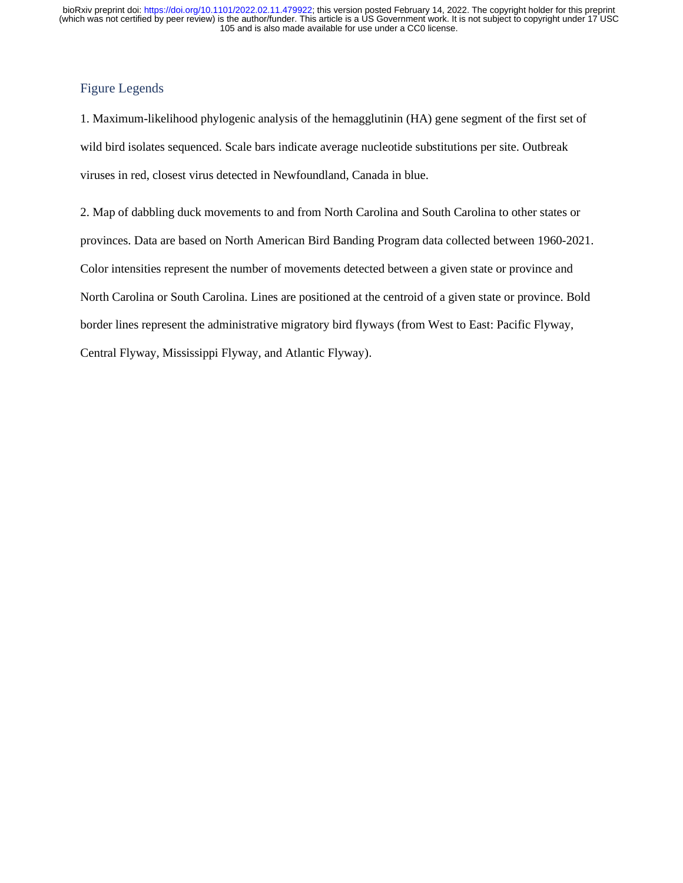# Figure Legends

1. Maximum-likelihood phylogenic analysis of the hemagglutinin (HA) gene segment of the first set of wild bird isolates sequenced. Scale bars indicate average nucleotide substitutions per site. Outbreak viruses in red, closest virus detected in Newfoundland, Canada in blue.

2. Map of dabbling duck movements to and from North Carolina and South Carolina to other states or provinces. Data are based on North American Bird Banding Program data collected between 1960-2021. Color intensities represent the number of movements detected between a given state or province and North Carolina or South Carolina. Lines are positioned at the centroid of a given state or province. Bold border lines represent the administrative migratory bird flyways (from West to East: Pacific Flyway, Central Flyway, Mississippi Flyway, and Atlantic Flyway).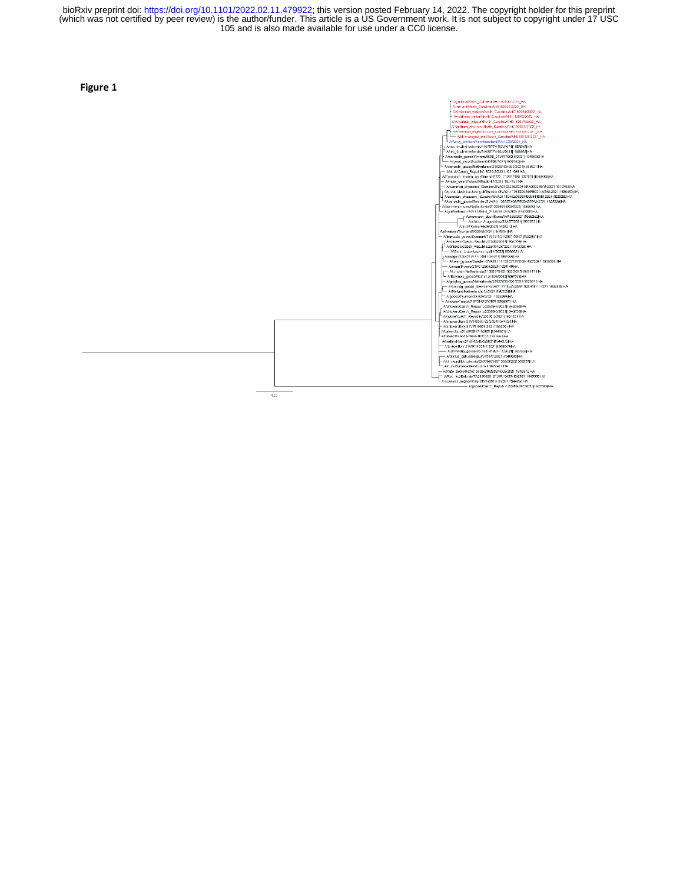$0.02\,$